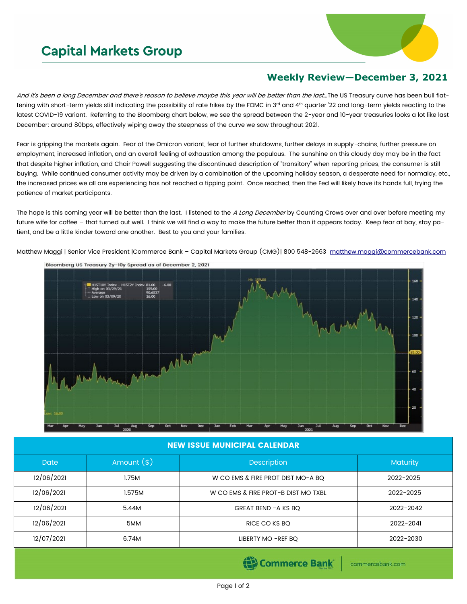## **Capital Markets Group**



## **Weekly Review—December 3, 2021**

And it's been a long December and there's reason to believe maybe this year will be better than the last...The US Treasury curve has been bull flattening with short-term yields still indicating the possibility of rate hikes by the FOMC in 3rd and 4th quarter '22 and long-term yields reacting to the latest COVID-19 variant. Referring to the Bloomberg chart below, we see the spread between the 2-year and 10-year treasuries looks a lot like last December: around 80bps, effectively wiping away the steepness of the curve we saw throughout 2021.

Fear is gripping the markets again. Fear of the Omicron variant, fear of further shutdowns, further delays in supply-chains, further pressure on employment, increased inflation, and an overall feeling of exhaustion among the populous. The sunshine on this cloudy day may be in the fact that despite higher inflation, and Chair Powell suggesting the discontinued description of "transitory" when reporting prices, the consumer is still buying. While continued consumer activity may be driven by a combination of the upcoming holiday season, a desperate need for normalcy, etc., the increased prices we all are experiencing has not reached a tipping point. Once reached, then the Fed will likely have its hands full, trying the patience of market participants.

The hope is this coming year will be better than the last. I listened to the A Long December by Counting Crows over and over before meeting my future wife for coffee – that turned out well. I think we will find a way to make the future better than it appears today. Keep fear at bay, stay patient, and be a little kinder toward one another. Best to you and your families.

Matthew Maggi | Senior Vice President |Commerce Bank - Capital Markets Group (CMG)| 800 548-2663 [matthew.maggi@commercebank.com](mailto:matthew.maggi@commercebank.com)



## NEW ISSUE MUNICIPAL CALENDAR

| <b>Date</b> | Amount $(*)$ | <b>Description</b>                  | <b>Maturity</b> |  |
|-------------|--------------|-------------------------------------|-----------------|--|
| 12/06/2021  | 1.75M        | W CO EMS & FIRE PROT DIST MO-A BQ   | 2022-2025       |  |
| 12/06/2021  | 1.575M       | W CO EMS & FIRE PROT-B DIST MO TXBL | 2022-2025       |  |
| 12/06/2021  | 5.44M        | GREAT BEND -A KS BQ                 | 2022-2042       |  |
| 12/06/2021  | 5MM          | RICE CO KS BQ                       | 2022-2041       |  |
| 12/07/2021  | 6.74M        | LIBERTY MO -REF BQ                  | 2022-2030       |  |

Commerce Bank

commercebank.com